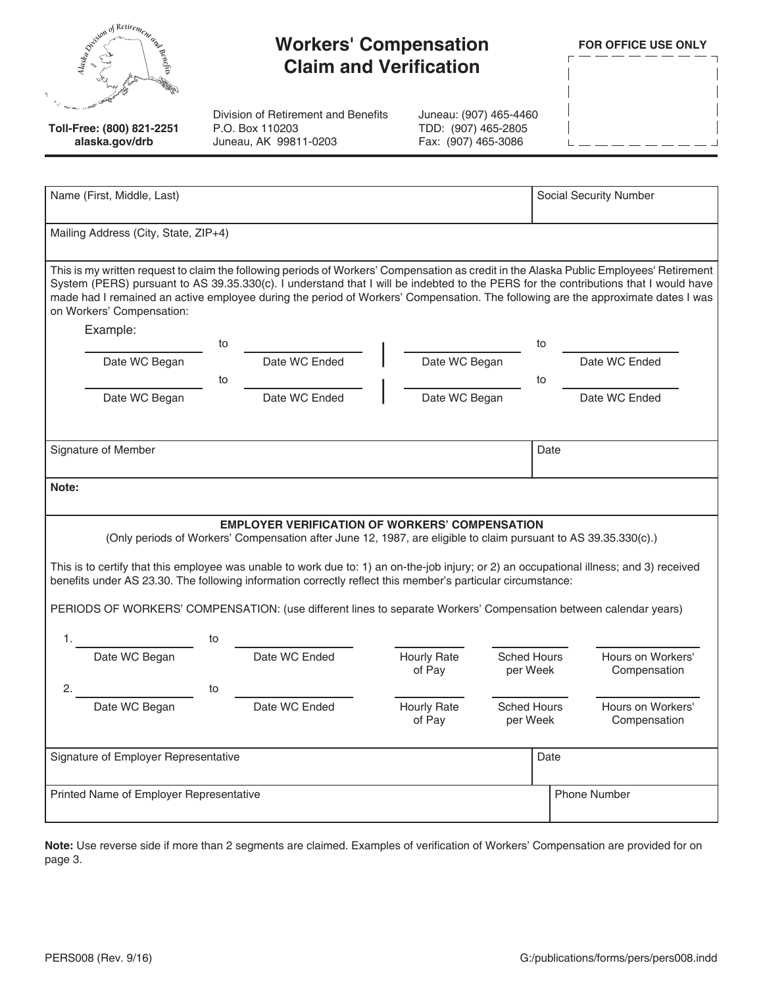|   | Spiritual of Retirement ex-<br>penefits |
|---|-----------------------------------------|
| ٦ |                                         |

## **Workers' Compensation Claim and Verification**

**FOR OFFICE USE ONLY**

| $\blacksquare$ |  |  |  |  | $\blacksquare$ |
|----------------|--|--|--|--|----------------|
|                |  |  |  |  |                |
|                |  |  |  |  | Ï              |
|                |  |  |  |  | Ï              |
|                |  |  |  |  |                |
| $\mathbf{I}$   |  |  |  |  |                |

**Toll-Free: (800) 821-2251 alaska.gov/drb**

Division of Retirement and Benefits P.O. Box 110203 Juneau, AK 99811-0203

Juneau: (907) 465-4460 TDD: (907) 465-2805 Fax: (907) 465-3086

| Name (First, Middle, Last)                                                                                                                                                                                                                                                                                                                                                                                                                      |    | <b>Social Security Number</b> |                              |               |                                |                                   |  |
|-------------------------------------------------------------------------------------------------------------------------------------------------------------------------------------------------------------------------------------------------------------------------------------------------------------------------------------------------------------------------------------------------------------------------------------------------|----|-------------------------------|------------------------------|---------------|--------------------------------|-----------------------------------|--|
| Mailing Address (City, State, ZIP+4)                                                                                                                                                                                                                                                                                                                                                                                                            |    |                               |                              |               |                                |                                   |  |
| This is my written request to claim the following periods of Workers' Compensation as credit in the Alaska Public Employees' Retirement<br>System (PERS) pursuant to AS 39.35.330(c). I understand that I will be indebted to the PERS for the contributions that I would have<br>made had I remained an active employee during the period of Workers' Compensation. The following are the approximate dates I was<br>on Workers' Compensation: |    |                               |                              |               |                                |                                   |  |
| Example:                                                                                                                                                                                                                                                                                                                                                                                                                                        | to |                               |                              |               | to                             |                                   |  |
| Date WC Began                                                                                                                                                                                                                                                                                                                                                                                                                                   |    | Date WC Ended                 |                              | Date WC Began |                                | Date WC Ended                     |  |
| Date WC Began                                                                                                                                                                                                                                                                                                                                                                                                                                   | to | Date WC Ended                 |                              | Date WC Began | to                             | Date WC Ended                     |  |
|                                                                                                                                                                                                                                                                                                                                                                                                                                                 |    |                               |                              |               |                                |                                   |  |
| Signature of Member                                                                                                                                                                                                                                                                                                                                                                                                                             |    |                               |                              |               | Date                           |                                   |  |
| Note:                                                                                                                                                                                                                                                                                                                                                                                                                                           |    |                               |                              |               |                                |                                   |  |
| <b>EMPLOYER VERIFICATION OF WORKERS' COMPENSATION</b><br>(Only periods of Workers' Compensation after June 12, 1987, are eligible to claim pursuant to AS 39.35.330(c).)                                                                                                                                                                                                                                                                        |    |                               |                              |               |                                |                                   |  |
| This is to certify that this employee was unable to work due to: 1) an on-the-job injury; or 2) an occupational illness; and 3) received<br>benefits under AS 23.30. The following information correctly reflect this member's particular circumstance:                                                                                                                                                                                         |    |                               |                              |               |                                |                                   |  |
| PERIODS OF WORKERS' COMPENSATION: (use different lines to separate Workers' Compensation between calendar years)                                                                                                                                                                                                                                                                                                                                |    |                               |                              |               |                                |                                   |  |
| 1.                                                                                                                                                                                                                                                                                                                                                                                                                                              | to |                               |                              |               |                                |                                   |  |
| Date WC Began                                                                                                                                                                                                                                                                                                                                                                                                                                   |    | Date WC Ended                 | <b>Hourly Rate</b><br>of Pay |               | <b>Sched Hours</b><br>per Week | Hours on Workers'<br>Compensation |  |
| 2.                                                                                                                                                                                                                                                                                                                                                                                                                                              | to |                               |                              |               |                                |                                   |  |
| Date WC Began                                                                                                                                                                                                                                                                                                                                                                                                                                   |    | Date WC Ended                 | <b>Hourly Rate</b><br>of Pay |               | <b>Sched Hours</b><br>per Week | Hours on Workers'<br>Compensation |  |
| Signature of Employer Representative                                                                                                                                                                                                                                                                                                                                                                                                            |    |                               |                              |               | Date                           |                                   |  |
| Printed Name of Employer Representative                                                                                                                                                                                                                                                                                                                                                                                                         |    |                               |                              |               |                                | <b>Phone Number</b>               |  |

**Note:** Use reverse side if more than 2 segments are claimed. Examples of verification of Workers' Compensation are provided for on page 3.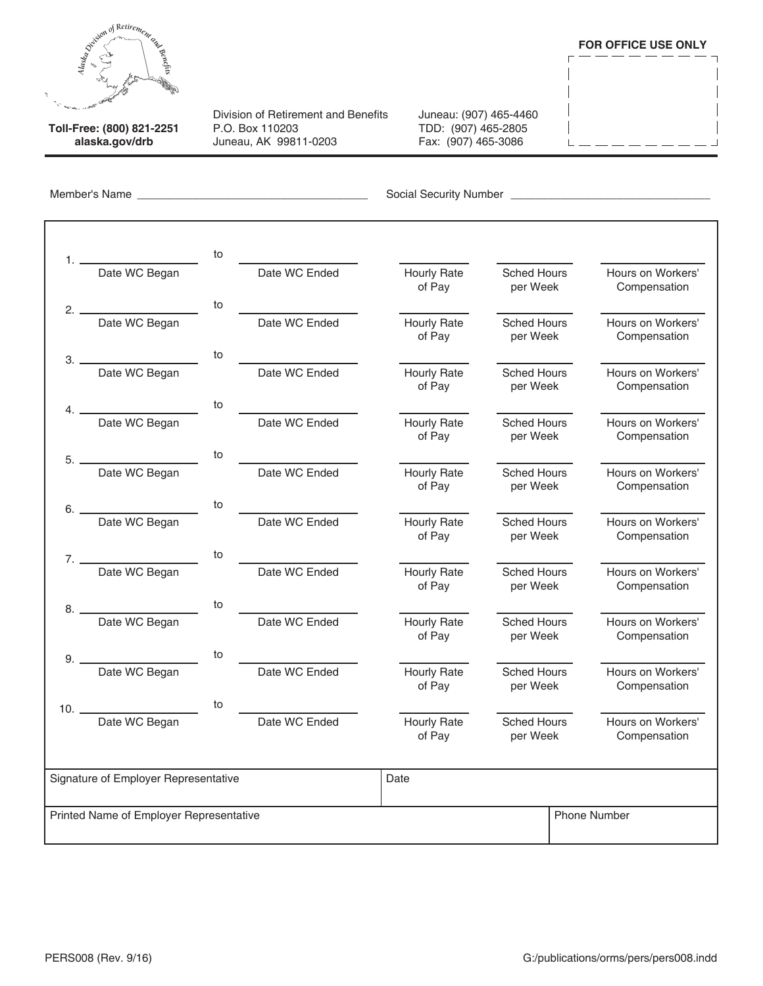